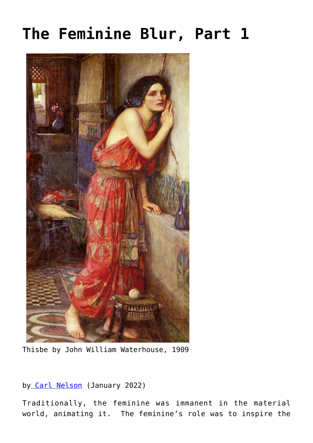## **[The Feminine Blur, Part 1](https://www.newenglishreview.org/articles/the-feminine-blur-part-1/)**



Thisbe by John William Waterhouse, 1909

## by [Carl Nelson](https://www.newenglishreview.org/authors/carl-nelson/) (January 2022)

Traditionally, the feminine was immanent in the material world, animating it. The feminine's role was to inspire the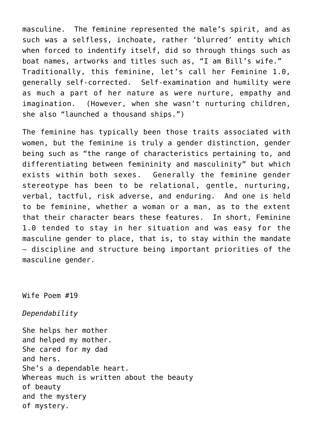masculine. The feminine represented the male's spirit, and as such was a selfless, inchoate, rather 'blurred' entity which when forced to indentify itself, did so through things such as boat names, artworks and titles such as, "I am Bill's wife." Traditionally, this feminine, let's call her Feminine 1.0, generally self-corrected. Self-examination and humility were as much a part of her nature as were nurture, empathy and imagination. (However, when she wasn't nurturing children, she also "launched a thousand ships.")

The feminine has typically been those traits associated with women, but the feminine is truly a gender distinction, gender being such as "the range of characteristics pertaining to, and differentiating between femininity and masculinity" but which exists within both sexes. Generally the feminine gender stereotype has been to be relational, gentle, nurturing, verbal, tactful, risk adverse, and enduring. And one is held to be feminine, whether a woman or a man, as to the extent that their character bears these features. In short, Feminine 1.0 tended to stay in her situation and was easy for the masculine gender to place, that is, to stay within the mandate – discipline and structure being important priorities of the masculine gender.

Wife Poem #19

*Dependability*

She helps her mother and helped my mother. She cared for my dad and hers. She's a dependable heart. Whereas much is written about the beauty of beauty and the mystery of mystery.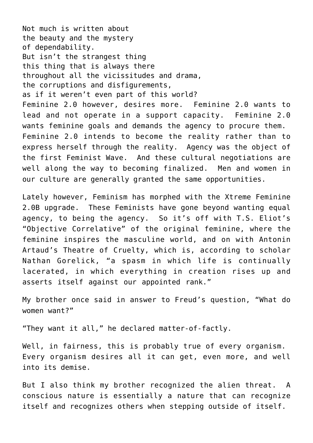Not much is written about the beauty and the mystery of dependability. But isn't the strangest thing this thing that is always there throughout all the vicissitudes and drama, the corruptions and disfigurements, as if it weren't even part of this world? Feminine 2.0 however, desires more. Feminine 2.0 wants to lead and not operate in a support capacity. Feminine 2.0 wants feminine goals and demands the agency to procure them. Feminine 2.0 intends to become the reality rather than to express herself through the reality. Agency was the object of the first Feminist Wave. And these cultural negotiations are well along the way to becoming finalized. Men and women in our culture are generally granted the same opportunities.

Lately however, Feminism has morphed with the Xtreme Feminine 2.0B upgrade. These Feminists have gone beyond wanting equal agency, to being the agency. So it's off with T.S. Eliot's "Objective Correlative" of the original feminine, where the feminine inspires the masculine world, and on with Antonin Artaud's Theatre of Cruelty, which is, according to scholar Nathan Gorelick, "a spasm in which life is continually lacerated, in which everything in creation rises up and asserts itself against our appointed rank."

My brother once said in answer to Freud's question, "What do women want?"

"They want it all," he declared matter-of-factly.

Well, in fairness, this is probably true of every organism. Every organism desires all it can get, even more, and well into its demise.

But I also think my brother recognized the alien threat. A conscious nature is essentially a nature that can recognize itself and recognizes others when stepping outside of itself.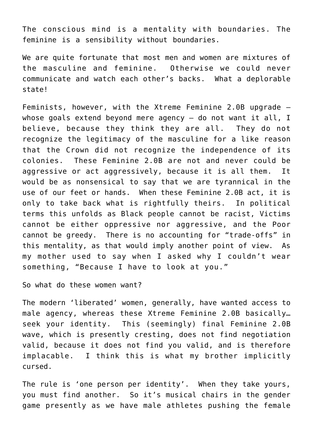The conscious mind is a mentality with boundaries. The feminine is a sensibility without boundaries.

We are quite fortunate that most men and women are mixtures of the masculine and feminine. Otherwise we could never communicate and watch each other's backs. What a deplorable state!

Feminists, however, with the Xtreme Feminine 2.0B upgrade – whose goals extend beyond mere agency - do not want it all, I believe, because they think they are all. They do not recognize the legitimacy of the masculine for a like reason that the Crown did not recognize the independence of its colonies. These Feminine 2.0B are not and never could be aggressive or act aggressively, because it is all them. It would be as nonsensical to say that we are tyrannical in the use of our feet or hands. When these Feminine 2.0B act, it is only to take back what is rightfully theirs. In political terms this unfolds as Black people cannot be racist, Victims cannot be either oppressive nor aggressive, and the Poor cannot be greedy. There is no accounting for "trade-offs" in this mentality, as that would imply another point of view. As my mother used to say when I asked why I couldn't wear something, "Because I have to look at you."

So what do these women want?

The modern 'liberated' women, generally, have wanted access to male agency, whereas these Xtreme Feminine 2.0B basically… seek your identity. This (seemingly) final Feminine 2.0B wave, which is presently cresting, does not find negotiation valid, because it does not find you valid, and is therefore implacable. I think this is what my brother implicitly cursed.

The rule is 'one person per identity'. When they take yours, you must find another. So it's musical chairs in the gender game presently as we have male athletes pushing the female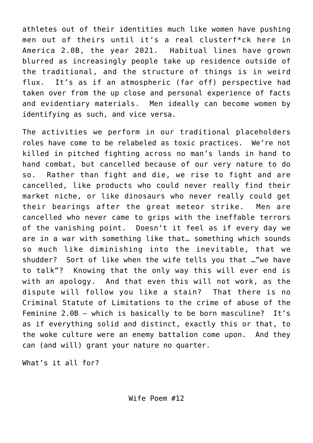athletes out of their identities much like women have pushing men out of theirs until it's a real clusterf\*ck here in America 2.0B, the year 2021. Habitual lines have grown blurred as increasingly people take up residence outside of the traditional, and the structure of things is in weird flux. It's as if an atmospheric (far off) perspective had taken over from the up close and personal experience of facts and evidentiary materials. Men ideally can become women by identifying as such, and vice versa.

The activities we perform in our traditional placeholders roles have come to be relabeled as toxic practices. We're not killed in pitched fighting across no man's lands in hand to hand combat, but cancelled because of our very nature to do so. Rather than fight and die, we rise to fight and are cancelled, like products who could never really find their market niche, or like dinosaurs who never really could get their bearings after the great meteor strike. Men are cancelled who never came to grips with the ineffable terrors of the vanishing point. Doesn't it feel as if every day we are in a war with something like that… something which sounds so much like diminishing into the inevitable, that we shudder? Sort of like when the wife tells you that …"we have to talk"? Knowing that the only way this will ever end is with an apology. And that even this will not work, as the dispute will follow you like a stain? That there is no Criminal Statute of Limitations to the crime of abuse of the Feminine 2.0B – which is basically to be born masculine? It's as if everything solid and distinct, exactly this or that, to the woke culture were an enemy battalion come upon. And they can (and will) grant your nature no quarter.

What's it all for?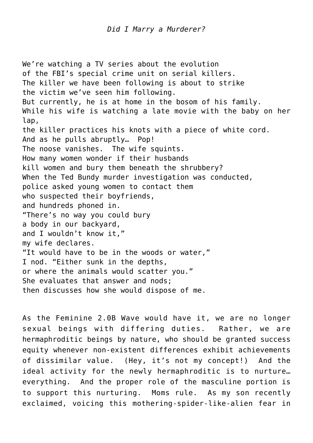We're watching a TV series about the evolution of the FBI's special crime unit on serial killers. The killer we have been following is about to strike the victim we've seen him following. But currently, he is at home in the bosom of his family. While his wife is watching a late movie with the baby on her lap, the killer practices his knots with a piece of white cord. And as he pulls abruptly… Pop! The noose vanishes. The wife squints. How many women wonder if their husbands kill women and bury them beneath the shrubbery? When the Ted Bundy murder investigation was conducted, police asked young women to contact them who suspected their boyfriends, and hundreds phoned in. "There's no way you could bury a body in our backyard, and I wouldn't know it," my wife declares. "It would have to be in the woods or water," I nod. "Either sunk in the depths, or where the animals would scatter you." She evaluates that answer and nods; then discusses how she would dispose of me.

As the Feminine 2.0B Wave would have it, we are no longer sexual beings with differing duties. Rather, we are hermaphroditic beings by nature, who should be granted success equity whenever non-existent differences exhibit achievements of dissimilar value. (Hey, it's not my concept!) And the ideal activity for the newly hermaphroditic is to nurture… everything. And the proper role of the masculine portion is to support this nurturing. Moms rule. As my son recently exclaimed, voicing this mothering-spider-like-alien fear in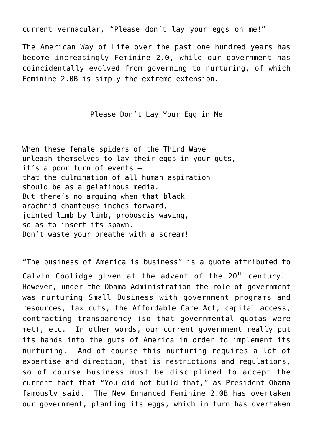current vernacular, "Please don't lay your eggs on me!"

The American Way of Life over the past one hundred years has become increasingly Feminine 2.0, while our government has coincidentally evolved from governing to nurturing, of which Feminine 2.0B is simply the extreme extension.

## Please Don't Lay Your Egg in Me

When these female spiders of the Third Wave unleash themselves to lay their eggs in your guts, it's a poor turn of events – that the culmination of all human aspiration should be as a gelatinous media. But there's no arguing when that black arachnid chanteuse inches forward, jointed limb by limb, proboscis waving, so as to insert its spawn. Don't waste your breathe with a scream!

"The business of America is business" is a quote attributed to Calvin Coolidge given at the advent of the  $20^{th}$  century. However, under the Obama Administration the role of government was nurturing Small Business with government programs and resources, tax cuts, the Affordable Care Act, capital access, contracting transparency (so that governmental quotas were met), etc. In other words, our current government really put its hands into the guts of America in order to implement its nurturing. And of course this nurturing requires a lot of expertise and direction, that is restrictions and regulations, so of course business must be disciplined to accept the current fact that "You did not build that," as President Obama famously said. The New Enhanced Feminine 2.0B has overtaken our government, planting its eggs, which in turn has overtaken